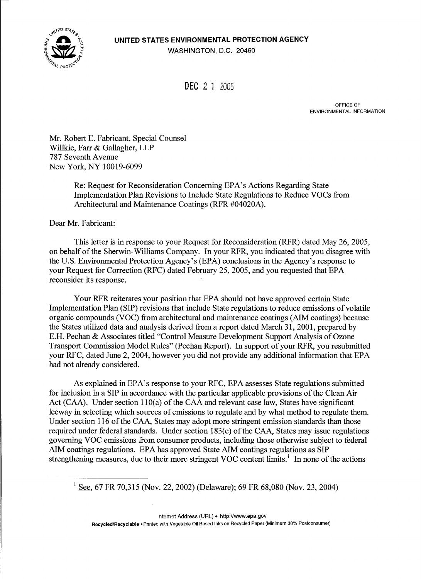UNITED STATES ENVIRONMENTAL PROTECTION AGENCY

JNITED STA

WASHINGTON, D.C. 20460

DEC 2 1 2005

OFFICE OF ENVIRONMENTAL INFORMATION

Mr. Robert E. Fabricant, Special Counsel Willkie, Farr & Gallagher, LLP 787 Seventh Avenue New York, NY 10019-6099

> Re: Request for Reconsideration Concerning EPA's Actions Regarding State Implementation Plan Revisions to Include State Regulations to Reduce VOCs from Architectural and Maintenance Coatings (RFR #04020A).

Dear Mr. Fabricant:

This letter is in response to your Request for Reconsideration (RFR) dated May 26, 2005, on behalf of the Sherwin-Williams Company. In your RFR, you indicated that you disagree with the U.S. Environmental Protection Agency's (EPA) conclusions in the Agency's response to your Request for Correction (RFC) dated February 25, 2005, and you requested that EPA reconsider its response.

Your RFR reiterates your position that EPA should not have approved certain State Implementation Plan (SIP) revisions that include State regulations to reduce emissions of volatile organic compounds (VOC) from architectural and maintenance coatings (AIM coatings) because the States utilized data and analysis derived from a report dated March 31, 2001, prepared by E.H. Pechan & Associates titled "Control Measure Development Support Analysis of Ozone Transport Commission Model Rules" (Pechan Report). In support of your RFR, you resubmitted your RFC, dated June 2, 2004, however you did not provide any additional information that EPA had not already considered.

As explained in EPA's response to your RFC, EPA assesses State regulations submitted for inclusion in a SIP in accordance with the particular applicable provisions of the Clean Air Act (CAA). Under section 110(a) of the CAA and relevant case law, States have significant leeway in selecting which sources of emissions to regulate and by what method to regulate them. Under section 116 of the CAA, States may adopt more stringent emission standards than those required under federal standards. Under section 183(e) of the CAA, States may issue regulations governing VOC emissions from consumer products, including those otherwise subject to federal AIM coatings regulations. EPA has approved State AIM coatings regulations as SIP strengthening measures, due to their more stringent VOC content limits.<sup>1</sup> In none of the actions

<sup>1</sup> See, 67 FR 70,315 (Nov. 22, 2002) (Delaware); 69 FR 68,080 (Nov. 23, 2004)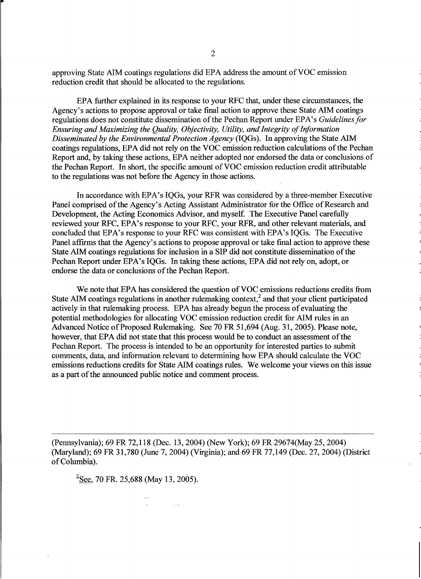approving State AIM coatings regulations did EPA address the amount of VOC emission reduction credit that should be allocated to the regulations.

EPA further explained in its response to your RFC that, under these circumstances, the Agency's actions to propose approval or take final action to approve these State AIM coatings regulations does not constitute dissemination of the Pechan Report under EPA's Guidelines for Ensuring and Maximizing the Ouality, Objectivity, Utility, and Integrity of Information Disseminated by the Environmental Protection Agency (IQGs). In approving the State AIM coatings regulations, EPA did not rely on the VOC emission reduction calculations of the Pechan Report and, by taking these actions, EPA neither adopted nor endorsed the data or conclusions of the Pechan Report. In short, the specific amount of VOC emission reduction credit attributable to the regulations was not before the Agency in those actions.

In accordance with EPA's IQGs, your RFR was considered by a three-member Executive Panel comprised of the Agency's Acting Assistant Administrator for the Office of Research and Development, the Acting Economics Advisor, and myself. The Executive Panel carefully reviewed your RFC, EPA's response to your RFC, your RFR, and other relevant materials, and concluded that EPA's response to your RFC was consistent with EPA's IQGs. The Executive Panel affirms that the Agency's actions to propose approval or take final action to approve these State AIM coatings regulations for inclusion in a SIP did not constitute dissemination of the Pechan Report under EPA's IQGs. In taking these actions, EPA did not rely on, adopt, or endorse the data or conclusions of the Pechan Report.

We note that EPA has considered the question of VOC emissions reductions credits from State AIM coatings regulations in another rulemaking context,<sup>2</sup> and that your client participated actively in that rulemaking process. EPA has already begunthe process ofevaluating the potential methodologies for allocating VOC emission reduction credit for AIM rules in an Advanced Notice of Proposed Rulemaking. See 70 FR 51,694 (Aug. 31, 2005). Please note, however, that EPA did not state that this process would be to conduct an assessment of the Pechan Report. The process is intended to be an opportunity for interested parties to submit comments, data, and information relevant to determining how EPA should calculate the VOC emissions reductions credits for State AIM coatings rules. We welcome your views on this issue as a part of the announced public notice and comment process.

(Pennsylvania); 69 FR 72,118 (Dec. 13, 2004) (New York); 69 FR 29674(May 25, 2004) (Maryland); 69 FR 31,780 (June 7, 2004) (Virginia); and 69 FR 77,149 (Dec. 27, 2004) (District of Columbia).

 $^{2}$ See, 70 FR, 25,688 (May 13, 2005).

 $\mathcal{L}^{\text{max}}$  , where  $\mathcal{L}^{\text{max}}$